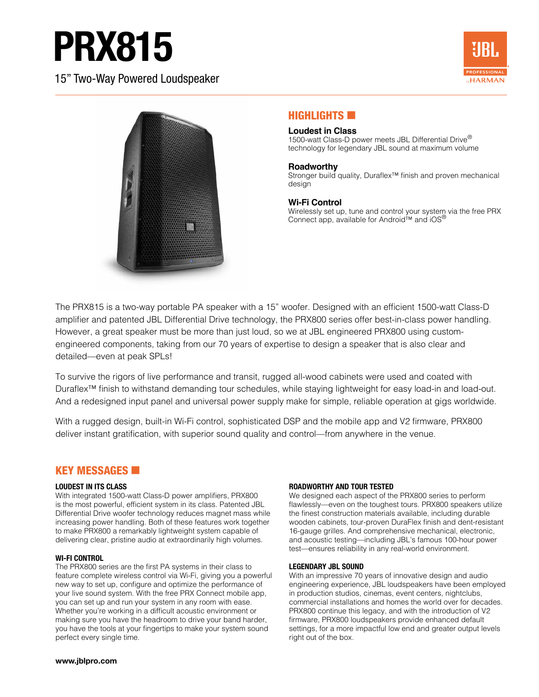# PRX815

15" Two-Way Powered Loudspeaker





# **HIGHLIGHTS**

#### **Loudest in Class**

1500-watt Class-D power meets JBL Differential Drive<sup>®</sup> technology for legendary JBL sound at maximum volume

#### **Roadworthy**

Stronger build quality, Duraflex™ finish and proven mechanical design

#### **Wi-Fi Control**

Wirelessly set up, tune and control your system via the free PRX Connect app, available for Android™ and iOS®

The PRX815 is a two-way portable PA speaker with a 15" woofer. Designed with an efficient 1500-watt Class-D amplifier and patented JBL Differential Drive technology, the PRX800 series offer best-in-class power handling. However, a great speaker must be more than just loud, so we at JBL engineered PRX800 using customengineered components, taking from our 70 years of expertise to design a speaker that is also clear and detailed—even at peak SPLs!

To survive the rigors of live performance and transit, rugged all-wood cabinets were used and coated with Duraflex™ finish to withstand demanding tour schedules, while staying lightweight for easy load-in and load-out. And a redesigned input panel and universal power supply make for simple, reliable operation at gigs worldwide.

With a rugged design, built-in Wi-Fi control, sophisticated DSP and the mobile app and V2 firmware, PRX800 deliver instant gratification, with superior sound quality and control—from anywhere in the venue.

### KEY MESSAGES **60**

#### **LOUDEST IN ITS CLASS**

With integrated 1500-watt Class-D power amplifiers, PRX800 is the most powerful, efficient system in its class. Patented JBL Differential Drive woofer technology reduces magnet mass while increasing power handling. Both of these features work together to make PRX800 a remarkably lightweight system capable of delivering clear, pristine audio at extraordinarily high volumes.

#### **WI-FI CONTROL**

The PRX800 series are the first PA systems in their class to feature complete wireless control via Wi-Fi, giving you a powerful new way to set up, configure and optimize the performance of your live sound system. With the free PRX Connect mobile app, you can set up and run your system in any room with ease. Whether you're working in a difficult acoustic environment or making sure you have the headroom to drive your band harder, you have the tools at your fingertips to make your system sound perfect every single time.

#### **ROADWORTHY AND TOUR TESTED**

We designed each aspect of the PRX800 series to perform flawlessly—even on the toughest tours. PRX800 speakers utilize the finest construction materials available, including durable wooden cabinets, tour-proven DuraFlex finish and dent-resistant 16-gauge grilles. And comprehensive mechanical, electronic, and acoustic testing—including JBL's famous 100-hour power test—ensures reliability in any real-world environment.

#### **LEGENDARY JBL SOUND**

With an impressive 70 years of innovative design and audio engineering experience, JBL loudspeakers have been employed in production studios, cinemas, event centers, nightclubs, commercial installations and homes the world over for decades. PRX800 continue this legacy, and with the introduction of V2 firmware, PRX800 loudspeakers provide enhanced default settings, for a more impactful low end and greater output levels right out of the box.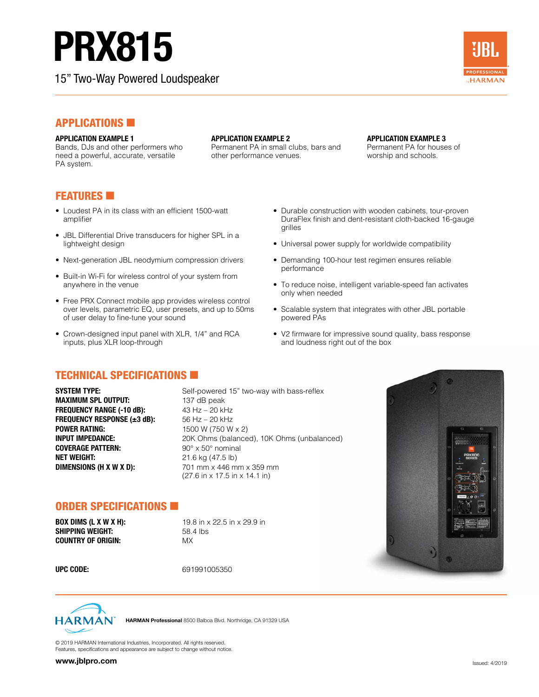# PRX815

Bands, DJs and other performers who need a powerful, accurate, versatile

15" Two-Way Powered Loudspeaker



# **APPLICATIONS**

### **APPLICATION EXAMPLE 1**

**APPLICATION EXAMPLE 2** 

Permanent PA in small clubs, bars and other performance venues.

#### **APPLICATION EXAMPLE 3**

Permanent PA for houses of worship and schools.

# **FEATURES**

PA system.

- Loudest PA in its class with an efficient 1500-watt amplifier
- JBL Differential Drive transducers for higher SPL in a lightweight design
- Next-generation JBL neodymium compression drivers
- Built-in Wi-Fi for wireless control of your system from anywhere in the venue
- Free PRX Connect mobile app provides wireless control over levels, parametric EQ, user presets, and up to 50ms of user delay to fine-tune your sound
- Crown-designed input panel with XLR, 1/4" and RCA inputs, plus XLR loop-through

# TECHNICAL SPECIFICATIONS

**SYSTEM TYPE:** Self-powered 15" two-way with bass-reflex **MAXIMUM SPL OUTPUT:** 137 dB peak **FREQUENCY RANGE (-10 dB):** 43 Hz – 20 kHz **FREQUENCY RESPONSE (±3 dB):** 56 Hz – 20 kHz **POWER RATING:** 1500 W (750 W x 2) **COVERAGE PATTERN:** 90° x 50° nominal **NET WEIGHT:** 21.6 kg (47.5 lb) **DIMENSIONS (H X W X D):** 701 mm x 446 mm x 359 mm

**INPUT IMPEDANCE:** 20K Ohms (balanced), 10K Ohms (unbalanced) (27.6 in x 17.5 in x 14.1 in)

### ORDER SPECIFICATIONS

**SHIPPING WEIGHT:** 58.4 lbs **COUNTRY OF ORIGIN:** MX

**BOX DIMS (L X W X H): 19.8** in x 22.5 in x 29.9 in

**UPC CODE:** 691991005350



HARMAN Professional 8500 Balboa Blvd. Northridge, CA 91329 USA

© 2019 HARMAN International Industries, Incorporated. All rights reserved. Features, specifications and appearance are subject to change without notice.

- Durable construction with wooden cabinets, tour-proven DuraFlex finish and dent-resistant cloth-backed 16-gauge grilles
- Universal power supply for worldwide compatibility
- Demanding 100-hour test regimen ensures reliable performance
- To reduce noise, intelligent variable-speed fan activates only when needed
- Scalable system that integrates with other JBL portable powered PAs
- V2 firmware for impressive sound quality, bass response and loudness right out of the box